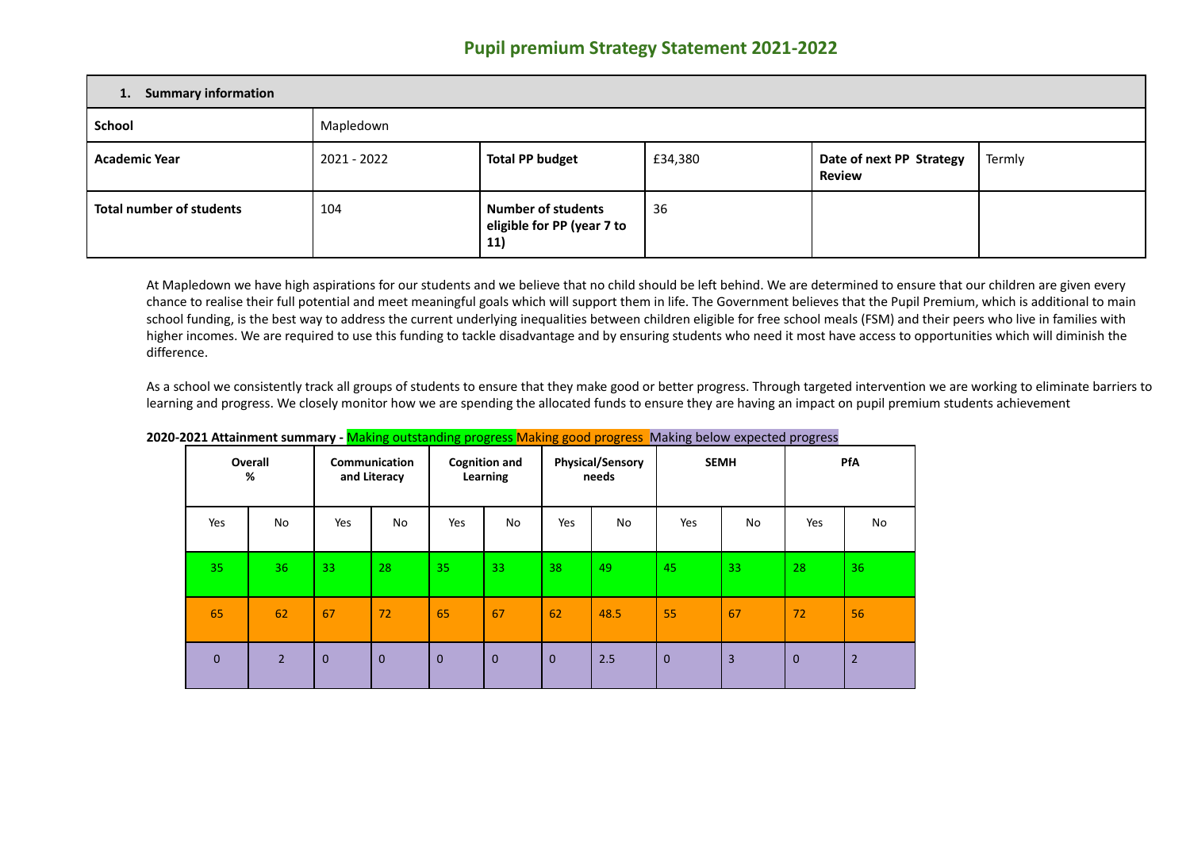## **Pupil premium Strategy Statement 2021-2022**

| 1. Summary information          |             |                                                                |         |                                           |        |  |  |  |
|---------------------------------|-------------|----------------------------------------------------------------|---------|-------------------------------------------|--------|--|--|--|
| School                          | Mapledown   |                                                                |         |                                           |        |  |  |  |
| <b>Academic Year</b>            | 2021 - 2022 | <b>Total PP budget</b>                                         | £34,380 | Date of next PP Strategy<br><b>Review</b> | Termly |  |  |  |
| <b>Total number of students</b> | 104         | <b>Number of students</b><br>eligible for PP (year 7 to<br>11) | 36      |                                           |        |  |  |  |

At Mapledown we have high aspirations for our students and we believe that no child should be left behind. We are determined to ensure that our children are given every chance to realise their full potential and meet meaningful goals which will support them in life. The Government believes that the Pupil Premium, which is additional to main school funding, is the best way to address the current underlying inequalities between children eligible for free school meals (FSM) and their peers who live in families with higher incomes. We are required to use this funding to tackle disadvantage and by ensuring students who need it most have access to opportunities which will diminish the difference.

As a school we consistently track all groups of students to ensure that they make good or better progress. Through targeted intervention we are working to eliminate barriers to learning and progress. We closely monitor how we are spending the allocated funds to ensure they are having an impact on pupil premium students achievement

|                 | Overall<br>%   |              | Communication<br>and Literacy |              | <b>Cognition and</b><br>Learning |              | <b>Physical/Sensory</b><br>needs |              | <b>SEMH</b>    |              | PfA            |
|-----------------|----------------|--------------|-------------------------------|--------------|----------------------------------|--------------|----------------------------------|--------------|----------------|--------------|----------------|
| Yes             | No             | Yes          | No                            | Yes          | No                               | Yes          | No                               | Yes          | No             | Yes          | No             |
| 35 <sub>1</sub> | 36             | 33           | 28                            | 35           | 33                               | 38           | 49                               | 45           | 33             | 28           | 36             |
| 65              | 62             | 67           | 72                            | 65           | 67                               | 62           | 48.5                             | 55           | 67             | 72           | 56             |
| $\mathbf{0}$    | $\overline{2}$ | $\mathbf{0}$ | $\mathbf{0}$                  | $\mathbf{0}$ | $\overline{0}$                   | $\mathbf{0}$ | 2.5                              | $\mathbf{0}$ | $\overline{3}$ | $\mathbf{0}$ | $\overline{2}$ |

## **2020-2021 Attainment summary -** Making outstanding progress Making good progress Making below expected progress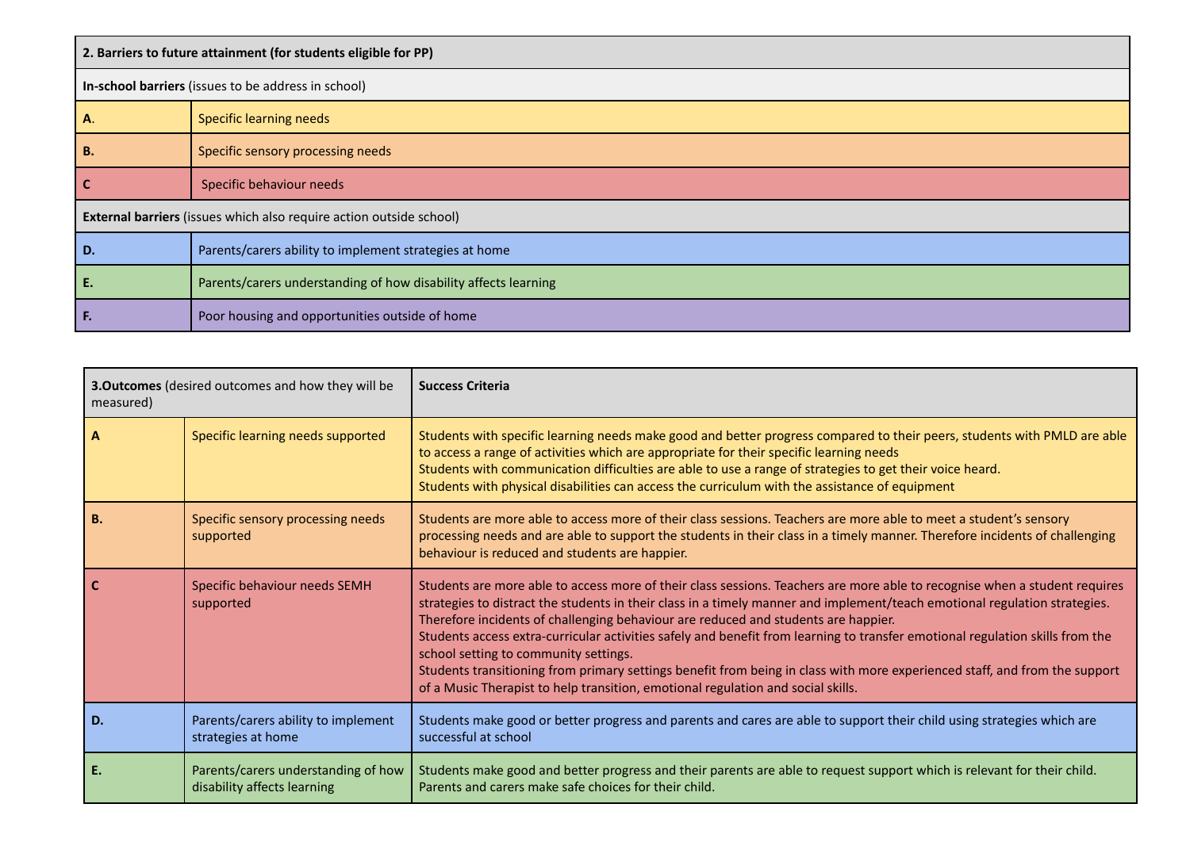| 2. Barriers to future attainment (for students eligible for PP) |                                                                     |  |  |  |  |  |
|-----------------------------------------------------------------|---------------------------------------------------------------------|--|--|--|--|--|
|                                                                 | In-school barriers (issues to be address in school)                 |  |  |  |  |  |
| А.                                                              | <b>Specific learning needs</b>                                      |  |  |  |  |  |
| В.                                                              | Specific sensory processing needs                                   |  |  |  |  |  |
|                                                                 | Specific behaviour needs                                            |  |  |  |  |  |
|                                                                 | External barriers (issues which also require action outside school) |  |  |  |  |  |
| D.                                                              | Parents/carers ability to implement strategies at home              |  |  |  |  |  |
| Ε.                                                              | Parents/carers understanding of how disability affects learning     |  |  |  |  |  |
| Е.                                                              | Poor housing and opportunities outside of home                      |  |  |  |  |  |

| 3. Outcomes (desired outcomes and how they will be<br>measured) |                                                                    | <b>Success Criteria</b>                                                                                                                                                                                                                                                                                                                                                                                                                                                                                                                                                                                                                                                                                                                    |
|-----------------------------------------------------------------|--------------------------------------------------------------------|--------------------------------------------------------------------------------------------------------------------------------------------------------------------------------------------------------------------------------------------------------------------------------------------------------------------------------------------------------------------------------------------------------------------------------------------------------------------------------------------------------------------------------------------------------------------------------------------------------------------------------------------------------------------------------------------------------------------------------------------|
| A                                                               | Specific learning needs supported                                  | Students with specific learning needs make good and better progress compared to their peers, students with PMLD are able<br>to access a range of activities which are appropriate for their specific learning needs<br>Students with communication difficulties are able to use a range of strategies to get their voice heard.<br>Students with physical disabilities can access the curriculum with the assistance of equipment                                                                                                                                                                                                                                                                                                          |
| <b>B.</b>                                                       | Specific sensory processing needs<br>supported                     | Students are more able to access more of their class sessions. Teachers are more able to meet a student's sensory<br>processing needs and are able to support the students in their class in a timely manner. Therefore incidents of challenging<br>behaviour is reduced and students are happier.                                                                                                                                                                                                                                                                                                                                                                                                                                         |
|                                                                 | Specific behaviour needs SEMH<br>supported                         | Students are more able to access more of their class sessions. Teachers are more able to recognise when a student requires<br>strategies to distract the students in their class in a timely manner and implement/teach emotional regulation strategies.<br>Therefore incidents of challenging behaviour are reduced and students are happier.<br>Students access extra-curricular activities safely and benefit from learning to transfer emotional regulation skills from the<br>school setting to community settings.<br>Students transitioning from primary settings benefit from being in class with more experienced staff, and from the support<br>of a Music Therapist to help transition, emotional regulation and social skills. |
| D.                                                              | Parents/carers ability to implement<br>strategies at home          | Students make good or better progress and parents and cares are able to support their child using strategies which are<br>successful at school                                                                                                                                                                                                                                                                                                                                                                                                                                                                                                                                                                                             |
|                                                                 | Parents/carers understanding of how<br>disability affects learning | Students make good and better progress and their parents are able to request support which is relevant for their child.<br>Parents and carers make safe choices for their child.                                                                                                                                                                                                                                                                                                                                                                                                                                                                                                                                                           |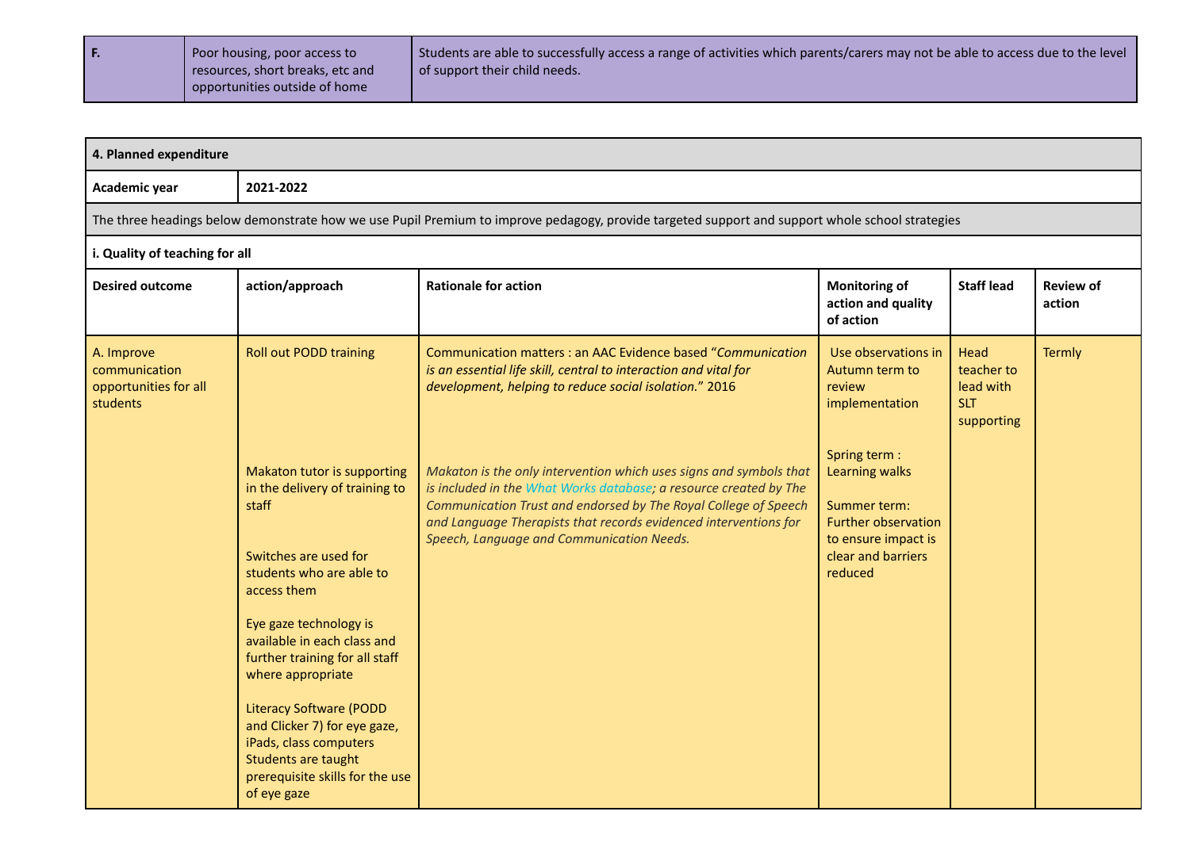| l F. | Poor housing, poor access to     | Students are able to successfully access a range of activities which parents/carers may not be able to access due to the level |
|------|----------------------------------|--------------------------------------------------------------------------------------------------------------------------------|
|      | resources, short breaks, etc and | of support their child needs.                                                                                                  |
|      | opportunities outside of home    |                                                                                                                                |

| 4. Planned expenditure                                           |                                                                                                                                                                                                                                                                                                                                                                                                                                 |                                                                                                                                                                                                                                                                                                                             |                                                                                                                                              |                                                             |                            |  |  |  |  |
|------------------------------------------------------------------|---------------------------------------------------------------------------------------------------------------------------------------------------------------------------------------------------------------------------------------------------------------------------------------------------------------------------------------------------------------------------------------------------------------------------------|-----------------------------------------------------------------------------------------------------------------------------------------------------------------------------------------------------------------------------------------------------------------------------------------------------------------------------|----------------------------------------------------------------------------------------------------------------------------------------------|-------------------------------------------------------------|----------------------------|--|--|--|--|
| Academic year                                                    | 2021-2022                                                                                                                                                                                                                                                                                                                                                                                                                       |                                                                                                                                                                                                                                                                                                                             |                                                                                                                                              |                                                             |                            |  |  |  |  |
|                                                                  | The three headings below demonstrate how we use Pupil Premium to improve pedagogy, provide targeted support and support whole school strategies                                                                                                                                                                                                                                                                                 |                                                                                                                                                                                                                                                                                                                             |                                                                                                                                              |                                                             |                            |  |  |  |  |
| i. Quality of teaching for all                                   |                                                                                                                                                                                                                                                                                                                                                                                                                                 |                                                                                                                                                                                                                                                                                                                             |                                                                                                                                              |                                                             |                            |  |  |  |  |
| <b>Desired outcome</b>                                           | action/approach                                                                                                                                                                                                                                                                                                                                                                                                                 | <b>Rationale for action</b>                                                                                                                                                                                                                                                                                                 | <b>Monitoring of</b><br>action and quality<br>of action                                                                                      | <b>Staff lead</b>                                           | <b>Review of</b><br>action |  |  |  |  |
| A. Improve<br>communication<br>opportunities for all<br>students | <b>Roll out PODD training</b>                                                                                                                                                                                                                                                                                                                                                                                                   | Communication matters : an AAC Evidence based "Communication<br>is an essential life skill, central to interaction and vital for<br>development, helping to reduce social isolation." 2016                                                                                                                                  | Use observations in<br>Autumn term to<br>review<br>implementation                                                                            | Head<br>teacher to<br>lead with<br><b>SLT</b><br>supporting | Termly                     |  |  |  |  |
|                                                                  | Makaton tutor is supporting<br>in the delivery of training to<br>staff<br>Switches are used for<br>students who are able to<br>access them<br>Eye gaze technology is<br>available in each class and<br>further training for all staff<br>where appropriate<br><b>Literacy Software (PODD</b><br>and Clicker 7) for eye gaze,<br>iPads, class computers<br>Students are taught<br>prerequisite skills for the use<br>of eye gaze | Makaton is the only intervention which uses signs and symbols that<br>is included in the What Works database; a resource created by The<br>Communication Trust and endorsed by The Royal College of Speech<br>and Language Therapists that records evidenced interventions for<br>Speech, Language and Communication Needs. | Spring term :<br><b>Learning walks</b><br>Summer term:<br><b>Further observation</b><br>to ensure impact is<br>clear and barriers<br>reduced |                                                             |                            |  |  |  |  |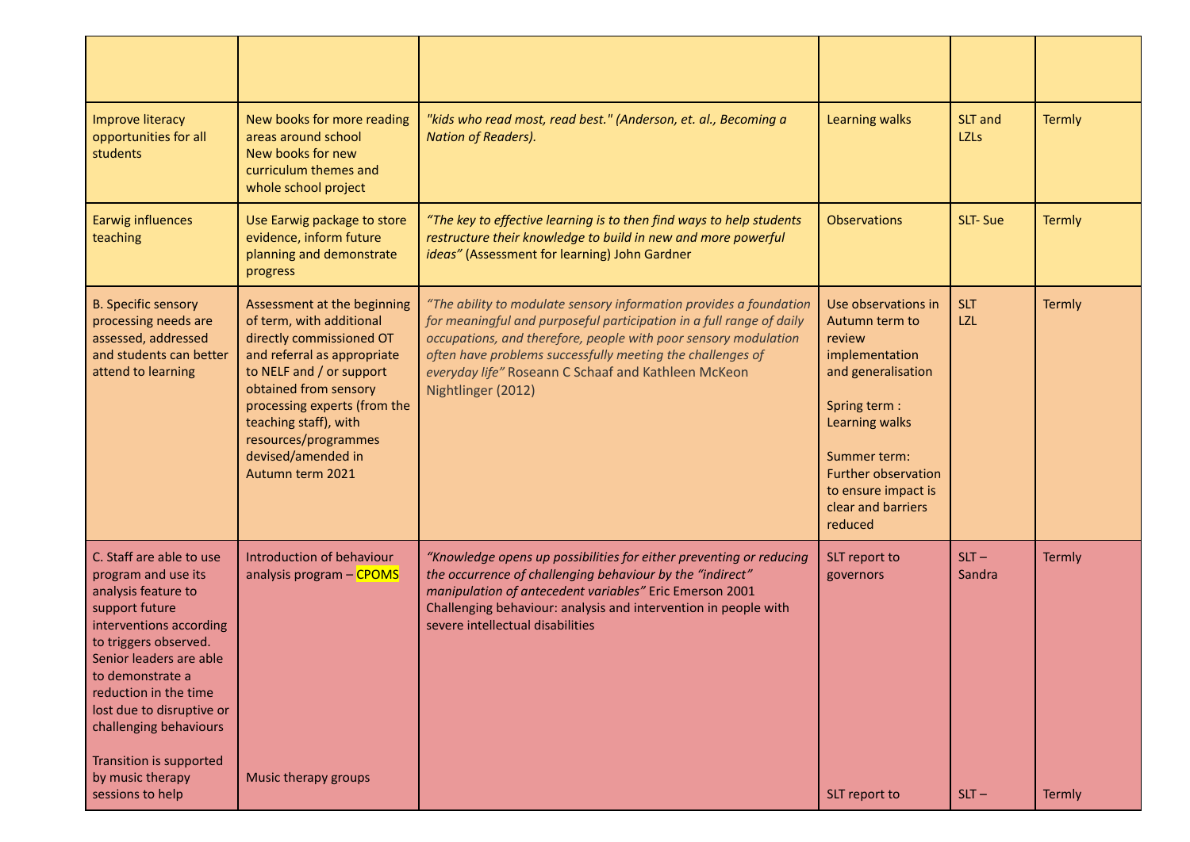| <b>Improve literacy</b><br>opportunities for all<br>students                                                                                                                                                                                                                                                               | New books for more reading<br>areas around school<br>New books for new<br>curriculum themes and<br>whole school project                                                                                                                                                                            | "kids who read most, read best." (Anderson, et. al., Becoming a<br><b>Nation of Readers).</b>                                                                                                                                                                                                                                                            | <b>Learning walks</b>                                                                                                                                                                                                           | SLT and<br><b>LZLs</b>   | <b>Termly</b> |
|----------------------------------------------------------------------------------------------------------------------------------------------------------------------------------------------------------------------------------------------------------------------------------------------------------------------------|----------------------------------------------------------------------------------------------------------------------------------------------------------------------------------------------------------------------------------------------------------------------------------------------------|----------------------------------------------------------------------------------------------------------------------------------------------------------------------------------------------------------------------------------------------------------------------------------------------------------------------------------------------------------|---------------------------------------------------------------------------------------------------------------------------------------------------------------------------------------------------------------------------------|--------------------------|---------------|
| <b>Earwig influences</b><br>teaching                                                                                                                                                                                                                                                                                       | Use Earwig package to store<br>evidence, inform future<br>planning and demonstrate<br>progress                                                                                                                                                                                                     | "The key to effective learning is to then find ways to help students<br>restructure their knowledge to build in new and more powerful<br>ideas" (Assessment for learning) John Gardner                                                                                                                                                                   | <b>Observations</b>                                                                                                                                                                                                             | SLT-Sue                  | <b>Termly</b> |
| <b>B. Specific sensory</b><br>processing needs are<br>assessed, addressed<br>and students can better<br>attend to learning                                                                                                                                                                                                 | Assessment at the beginning<br>of term, with additional<br>directly commissioned OT<br>and referral as appropriate<br>to NELF and / or support<br>obtained from sensory<br>processing experts (from the<br>teaching staff), with<br>resources/programmes<br>devised/amended in<br>Autumn term 2021 | "The ability to modulate sensory information provides a foundation<br>for meaningful and purposeful participation in a full range of daily<br>occupations, and therefore, people with poor sensory modulation<br>often have problems successfully meeting the challenges of<br>everyday life" Roseann C Schaaf and Kathleen McKeon<br>Nightlinger (2012) | Use observations in<br>Autumn term to<br>review<br>implementation<br>and generalisation<br>Spring term:<br>Learning walks<br>Summer term:<br><b>Further observation</b><br>to ensure impact is<br>clear and barriers<br>reduced | <b>SLT</b><br><b>LZL</b> | <b>Termly</b> |
| C. Staff are able to use<br>program and use its<br>analysis feature to<br>support future<br>interventions according<br>to triggers observed.<br>Senior leaders are able<br>to demonstrate a<br>reduction in the time<br>lost due to disruptive or<br>challenging behaviours<br>Transition is supported<br>by music therapy | Introduction of behaviour<br>analysis program - CPOMS<br>Music therapy groups                                                                                                                                                                                                                      | "Knowledge opens up possibilities for either preventing or reducing<br>the occurrence of challenging behaviour by the "indirect"<br>manipulation of antecedent variables" Eric Emerson 2001<br>Challenging behaviour: analysis and intervention in people with<br>severe intellectual disabilities                                                       | SLT report to<br>governors                                                                                                                                                                                                      | $SLT -$<br>Sandra        | <b>Termly</b> |
| sessions to help                                                                                                                                                                                                                                                                                                           |                                                                                                                                                                                                                                                                                                    |                                                                                                                                                                                                                                                                                                                                                          | SLT report to                                                                                                                                                                                                                   | $SLT -$                  | Termly        |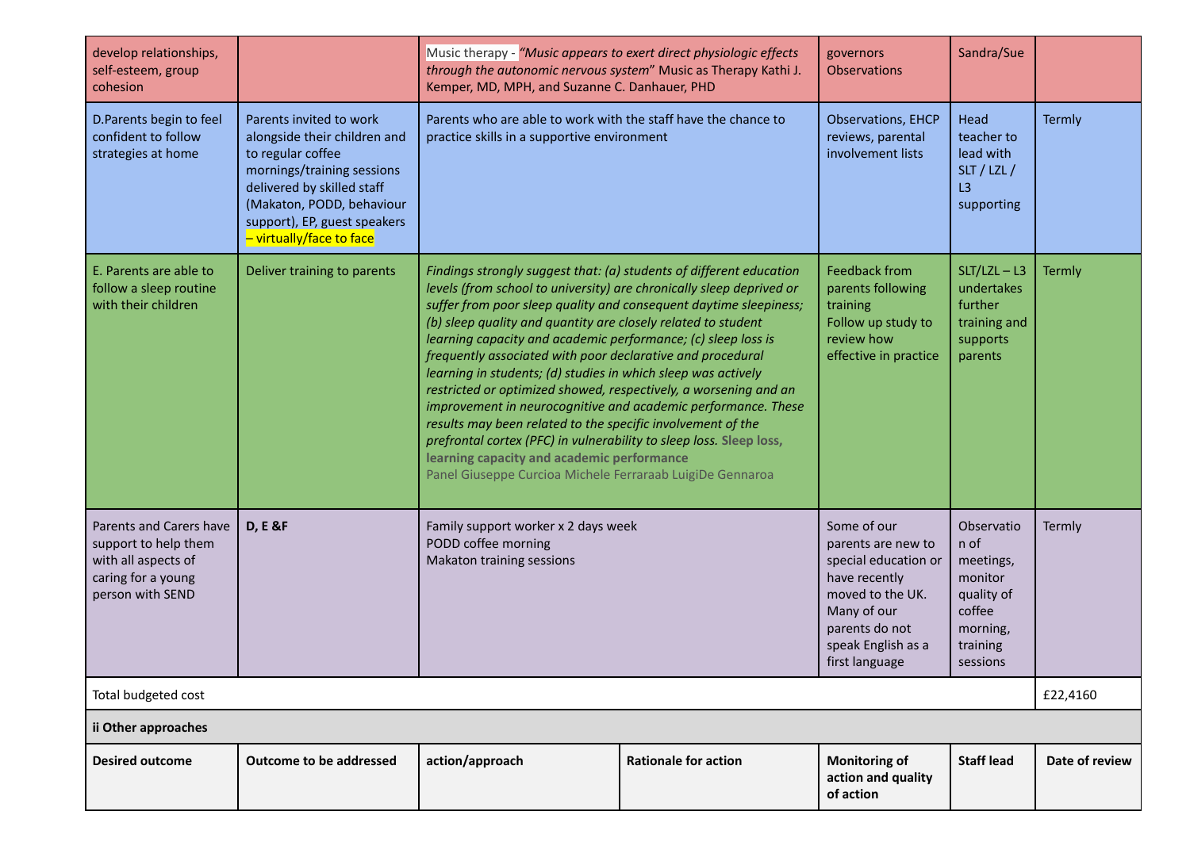| develop relationships,<br>self-esteem, group<br>cohesion                                                         |                                                                                                                                                                                                                                   | Music therapy - "Music appears to exert direct physiologic effects<br>through the autonomic nervous system" Music as Therapy Kathi J.<br>Kemper, MD, MPH, and Suzanne C. Danhauer, PHD                                                                                                                                                                                                                                                                                                                                                                                                                                                                                                                                                                                                                                                                                  | governors<br><b>Observations</b>                                                                                   | Sandra/Sue                                                                                                                                                              |                                                                                                        |                |  |  |
|------------------------------------------------------------------------------------------------------------------|-----------------------------------------------------------------------------------------------------------------------------------------------------------------------------------------------------------------------------------|-------------------------------------------------------------------------------------------------------------------------------------------------------------------------------------------------------------------------------------------------------------------------------------------------------------------------------------------------------------------------------------------------------------------------------------------------------------------------------------------------------------------------------------------------------------------------------------------------------------------------------------------------------------------------------------------------------------------------------------------------------------------------------------------------------------------------------------------------------------------------|--------------------------------------------------------------------------------------------------------------------|-------------------------------------------------------------------------------------------------------------------------------------------------------------------------|--------------------------------------------------------------------------------------------------------|----------------|--|--|
| D. Parents begin to feel<br>confident to follow<br>strategies at home                                            | Parents invited to work<br>alongside their children and<br>to regular coffee<br>mornings/training sessions<br>delivered by skilled staff<br>(Makaton, PODD, behaviour<br>support), EP, guest speakers<br>- virtually/face to face | Parents who are able to work with the staff have the chance to<br>practice skills in a supportive environment                                                                                                                                                                                                                                                                                                                                                                                                                                                                                                                                                                                                                                                                                                                                                           | Observations, EHCP<br>reviews, parental<br>involvement lists                                                       | Head<br>teacher to<br>lead with<br>SLT / LZL /<br>L3<br>supporting                                                                                                      | Termly                                                                                                 |                |  |  |
| E. Parents are able to<br>follow a sleep routine<br>with their children                                          | Deliver training to parents                                                                                                                                                                                                       | Findings strongly suggest that: (a) students of different education<br>levels (from school to university) are chronically sleep deprived or<br>suffer from poor sleep quality and consequent daytime sleepiness;<br>(b) sleep quality and quantity are closely related to student<br>learning capacity and academic performance; (c) sleep loss is<br>frequently associated with poor declarative and procedural<br>learning in students; (d) studies in which sleep was actively<br>restricted or optimized showed, respectively, a worsening and an<br>improvement in neurocognitive and academic performance. These<br>results may been related to the specific involvement of the<br>prefrontal cortex (PFC) in vulnerability to sleep loss. Sleep loss,<br>learning capacity and academic performance<br>Panel Giuseppe Curcioa Michele Ferraraab LuigiDe Gennaroa | <b>Feedback from</b><br>parents following<br>training<br>Follow up study to<br>review how<br>effective in practice | $SLT/LZL - L3$<br>undertakes<br>further<br>training and<br>supports<br>parents                                                                                          | <b>Termly</b>                                                                                          |                |  |  |
| Parents and Carers have<br>support to help them<br>with all aspects of<br>caring for a young<br>person with SEND | <b>D, E &amp;F</b>                                                                                                                                                                                                                | Family support worker x 2 days week<br>PODD coffee morning<br>Makaton training sessions                                                                                                                                                                                                                                                                                                                                                                                                                                                                                                                                                                                                                                                                                                                                                                                 |                                                                                                                    | Some of our<br>parents are new to<br>special education or<br>have recently<br>moved to the UK.<br>Many of our<br>parents do not<br>speak English as a<br>first language | Observatio<br>n of<br>meetings,<br>monitor<br>quality of<br>coffee<br>morning,<br>training<br>sessions | Termly         |  |  |
| Total budgeted cost                                                                                              |                                                                                                                                                                                                                                   |                                                                                                                                                                                                                                                                                                                                                                                                                                                                                                                                                                                                                                                                                                                                                                                                                                                                         |                                                                                                                    |                                                                                                                                                                         |                                                                                                        |                |  |  |
| ii Other approaches                                                                                              |                                                                                                                                                                                                                                   |                                                                                                                                                                                                                                                                                                                                                                                                                                                                                                                                                                                                                                                                                                                                                                                                                                                                         |                                                                                                                    |                                                                                                                                                                         |                                                                                                        |                |  |  |
| <b>Desired outcome</b>                                                                                           | <b>Outcome to be addressed</b>                                                                                                                                                                                                    | action/approach                                                                                                                                                                                                                                                                                                                                                                                                                                                                                                                                                                                                                                                                                                                                                                                                                                                         | <b>Rationale for action</b>                                                                                        | <b>Monitoring of</b><br>action and quality<br>of action                                                                                                                 | <b>Staff lead</b>                                                                                      | Date of review |  |  |